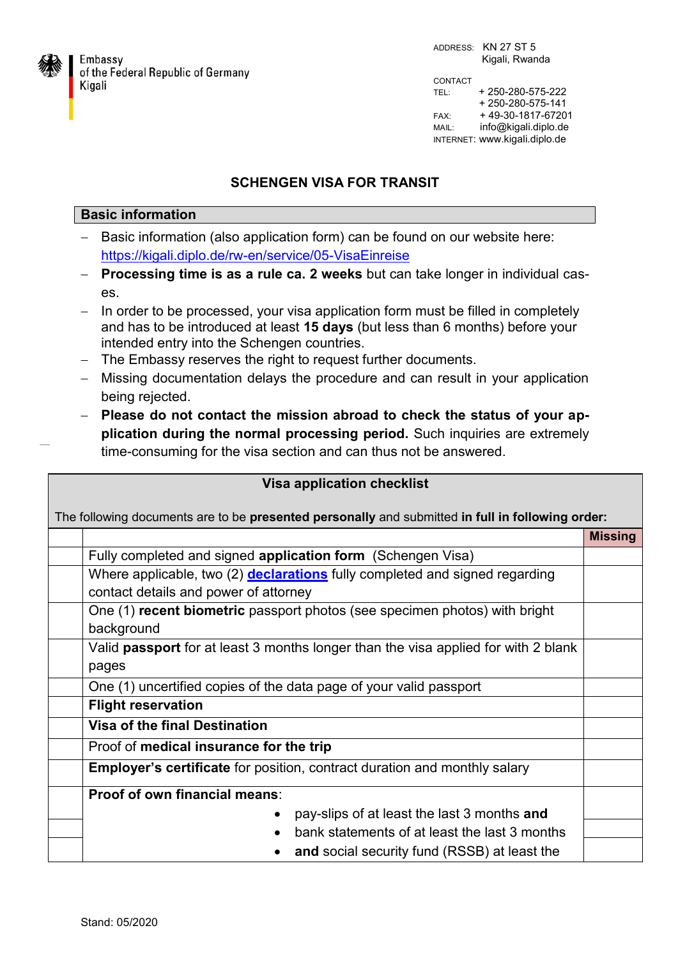

Embassy of the Federal Republic of Germany Kigali

ADDRESS: KN 27 ST 5 Kigali, Rwanda CONTACT TEL: + 250-280-575-222 + 250-280-575-141 FAX: + 49-30-1817-67201 MAIL: info@kigali.diplo.de INTERNET: www.kigali.diplo.de

## **SCHENGEN VISA FOR TRANSIT**

## **Basic information**

- Basic information (also application form) can be found on our website here: <https://kigali.diplo.de/rw-en/service/05-VisaEinreise>
- **Processing time is as a rule ca. 2 weeks** but can take longer in individual cases.
- In order to be processed, your visa application form must be filled in completely and has to be introduced at least **15 days** (but less than 6 months) before your intended entry into the Schengen countries.
- The Embassy reserves the right to request further documents.
- Missing documentation delays the procedure and can result in your application being rejected.
- **Please do not contact the mission abroad to check the status of your application during the normal processing period.** Such inquiries are extremely time-consuming for the visa section and can thus not be answered.

| <b>Visa application checklist</b>                                                                |                                                                                    |                |  |
|--------------------------------------------------------------------------------------------------|------------------------------------------------------------------------------------|----------------|--|
| The following documents are to be presented personally and submitted in full in following order: |                                                                                    |                |  |
|                                                                                                  |                                                                                    | <b>Missing</b> |  |
|                                                                                                  | Fully completed and signed application form (Schengen Visa)                        |                |  |
|                                                                                                  | Where applicable, two (2) <b>declarations</b> fully completed and signed regarding |                |  |
|                                                                                                  | contact details and power of attorney                                              |                |  |
|                                                                                                  | One (1) recent biometric passport photos (see specimen photos) with bright         |                |  |
|                                                                                                  | background                                                                         |                |  |
|                                                                                                  | Valid passport for at least 3 months longer than the visa applied for with 2 blank |                |  |
|                                                                                                  | pages                                                                              |                |  |
|                                                                                                  | One (1) uncertified copies of the data page of your valid passport                 |                |  |
|                                                                                                  | <b>Flight reservation</b>                                                          |                |  |
|                                                                                                  | <b>Visa of the final Destination</b>                                               |                |  |
|                                                                                                  | Proof of medical insurance for the trip                                            |                |  |
|                                                                                                  | <b>Employer's certificate</b> for position, contract duration and monthly salary   |                |  |
|                                                                                                  | <b>Proof of own financial means:</b>                                               |                |  |
|                                                                                                  | pay-slips of at least the last 3 months and<br>$\bullet$                           |                |  |
|                                                                                                  | bank statements of at least the last 3 months                                      |                |  |
|                                                                                                  | and social security fund (RSSB) at least the                                       |                |  |